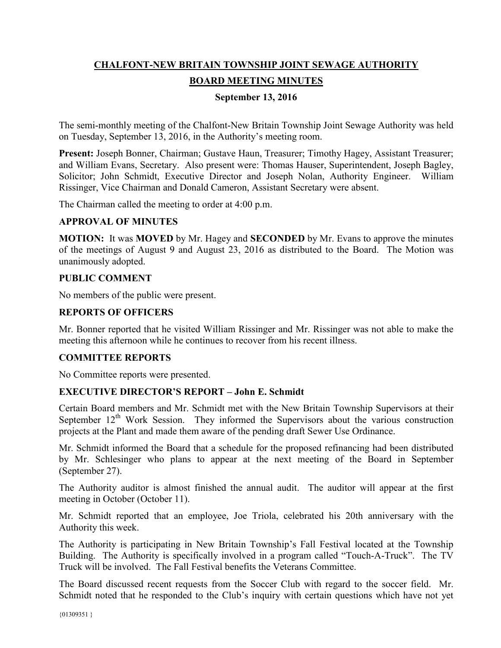# **CHALFONT-NEW BRITAIN TOWNSHIP JOINT SEWAGE AUTHORITY BOARD MEETING MINUTES**

# **September 13, 2016**

The semi-monthly meeting of the Chalfont-New Britain Township Joint Sewage Authority was held on Tuesday, September 13, 2016, in the Authority's meeting room.

**Present:** Joseph Bonner, Chairman; Gustave Haun, Treasurer; Timothy Hagey, Assistant Treasurer; and William Evans, Secretary. Also present were: Thomas Hauser, Superintendent, Joseph Bagley, Solicitor; John Schmidt, Executive Director and Joseph Nolan, Authority Engineer. William Rissinger, Vice Chairman and Donald Cameron, Assistant Secretary were absent.

The Chairman called the meeting to order at 4:00 p.m.

#### **APPROVAL OF MINUTES**

**MOTION:** It was **MOVED** by Mr. Hagey and **SECONDED** by Mr. Evans to approve the minutes of the meetings of August 9 and August 23, 2016 as distributed to the Board. The Motion was unanimously adopted.

#### **PUBLIC COMMENT**

No members of the public were present.

#### **REPORTS OF OFFICERS**

Mr. Bonner reported that he visited William Rissinger and Mr. Rissinger was not able to make the meeting this afternoon while he continues to recover from his recent illness.

# **COMMITTEE REPORTS**

No Committee reports were presented.

# **EXECUTIVE DIRECTOR'S REPORT – John E. Schmidt**

Certain Board members and Mr. Schmidt met with the New Britain Township Supervisors at their September  $12<sup>th</sup>$  Work Session. They informed the Supervisors about the various construction projects at the Plant and made them aware of the pending draft Sewer Use Ordinance.

Mr. Schmidt informed the Board that a schedule for the proposed refinancing had been distributed by Mr. Schlesinger who plans to appear at the next meeting of the Board in September (September 27).

The Authority auditor is almost finished the annual audit. The auditor will appear at the first meeting in October (October 11).

Mr. Schmidt reported that an employee, Joe Triola, celebrated his 20th anniversary with the Authority this week.

The Authority is participating in New Britain Township's Fall Festival located at the Township Building. The Authority is specifically involved in a program called "Touch-A-Truck". The TV Truck will be involved. The Fall Festival benefits the Veterans Committee.

The Board discussed recent requests from the Soccer Club with regard to the soccer field. Mr. Schmidt noted that he responded to the Club's inquiry with certain questions which have not yet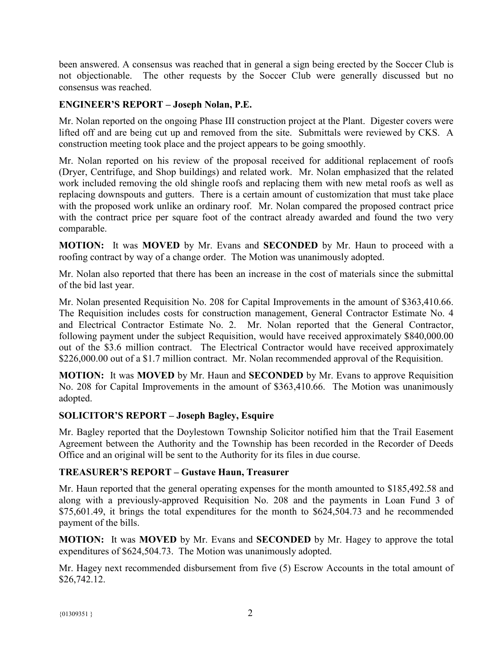been answered. A consensus was reached that in general a sign being erected by the Soccer Club is not objectionable. The other requests by the Soccer Club were generally discussed but no consensus was reached.

#### **ENGINEER'S REPORT – Joseph Nolan, P.E.**

Mr. Nolan reported on the ongoing Phase III construction project at the Plant. Digester covers were lifted off and are being cut up and removed from the site. Submittals were reviewed by CKS. A construction meeting took place and the project appears to be going smoothly.

Mr. Nolan reported on his review of the proposal received for additional replacement of roofs (Dryer, Centrifuge, and Shop buildings) and related work. Mr. Nolan emphasized that the related work included removing the old shingle roofs and replacing them with new metal roofs as well as replacing downspouts and gutters. There is a certain amount of customization that must take place with the proposed work unlike an ordinary roof. Mr. Nolan compared the proposed contract price with the contract price per square foot of the contract already awarded and found the two very comparable.

**MOTION:** It was **MOVED** by Mr. Evans and **SECONDED** by Mr. Haun to proceed with a roofing contract by way of a change order. The Motion was unanimously adopted.

Mr. Nolan also reported that there has been an increase in the cost of materials since the submittal of the bid last year.

Mr. Nolan presented Requisition No. 208 for Capital Improvements in the amount of \$363,410.66. The Requisition includes costs for construction management, General Contractor Estimate No. 4 and Electrical Contractor Estimate No. 2. Mr. Nolan reported that the General Contractor, following payment under the subject Requisition, would have received approximately \$840,000.00 out of the \$3.6 million contract. The Electrical Contractor would have received approximately \$226,000.00 out of a \$1.7 million contract. Mr. Nolan recommended approval of the Requisition.

**MOTION:** It was **MOVED** by Mr. Haun and **SECONDED** by Mr. Evans to approve Requisition No. 208 for Capital Improvements in the amount of \$363,410.66. The Motion was unanimously adopted.

# **SOLICITOR'S REPORT – Joseph Bagley, Esquire**

Mr. Bagley reported that the Doylestown Township Solicitor notified him that the Trail Easement Agreement between the Authority and the Township has been recorded in the Recorder of Deeds Office and an original will be sent to the Authority for its files in due course.

# **TREASURER'S REPORT – Gustave Haun, Treasurer**

Mr. Haun reported that the general operating expenses for the month amounted to \$185,492.58 and along with a previously-approved Requisition No. 208 and the payments in Loan Fund 3 of \$75,601.49, it brings the total expenditures for the month to \$624,504.73 and he recommended payment of the bills.

**MOTION:** It was **MOVED** by Mr. Evans and **SECONDED** by Mr. Hagey to approve the total expenditures of \$624,504.73. The Motion was unanimously adopted.

Mr. Hagey next recommended disbursement from five (5) Escrow Accounts in the total amount of \$26,742.12.